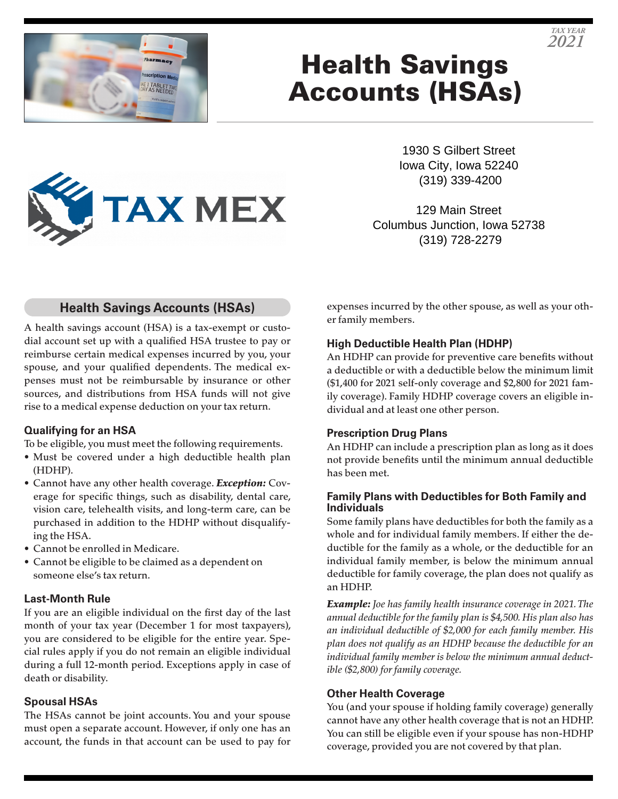



# Health Savings Accounts (HSAs)



129 Main Street Columbus Junction, Iowa 52738 (319) 728-2279

## **Health Savings Accounts (HSAs)**

**TAX MEX** 

A health savings account (HSA) is a tax-exempt or custodial account set up with a qualified HSA trustee to pay or reimburse certain medical expenses incurred by you, your spouse, and your qualified dependents. The medical expenses must not be reimbursable by insurance or other sources, and distributions from HSA funds will not give rise to a medical expense deduction on your tax return.

## **Qualifying for an HSA**

To be eligible, you must meet the following requirements.

- Must be covered under a high deductible health plan (HDHP).
- Cannot have any other health coverage. *Exception:* Coverage for specific things, such as disability, dental care, vision care, telehealth visits, and long-term care, can be purchased in addition to the HDHP without disqualifying the HSA.
- Cannot be enrolled in Medicare.
- Cannot be eligible to be claimed as a dependent on someone else's tax return.

## **Last-Month Rule**

If you are an eligible individual on the first day of the last month of your tax year (December 1 for most taxpayers), you are considered to be eligible for the entire year. Special rules apply if you do not remain an eligible individual during a full 12-month period. Exceptions apply in case of death or disability.

#### **Spousal HSAs**

The HSAs cannot be joint accounts. You and your spouse must open a separate account. However, if only one has an account, the funds in that account can be used to pay for expenses incurred by the other spouse, as well as your other family members.

## **High Deductible Health Plan (HDHP)**

An HDHP can provide for preventive care benefits without a deductible or with a deductible below the minimum limit (\$1,400 for 2021 self-only coverage and \$2,800 for 2021 family coverage). Family HDHP coverage covers an eligible individual and at least one other person.

## **Prescription Drug Plans**

An HDHP can include a prescription plan as long as it does not provide benefits until the minimum annual deductible has been met.

#### **Family Plans with Deductibles for Both Family and Individuals**

Some family plans have deductibles for both the family as a whole and for individual family members. If either the deductible for the family as a whole, or the deductible for an individual family member, is below the minimum annual deductible for family coverage, the plan does not qualify as an HDHP.

*Example: Joe has family health insurance coverage in 2021. The annual deductible for the family plan is \$4,500. His plan also has an individual deductible of \$2,000 for each family member. His plan does not qualify as an HDHP because the deductible for an individual family member is below the minimum annual deductible (\$2,800) for family coverage.*

## **Other Health Coverage**

You (and your spouse if holding family coverage) generally cannot have any other health coverage that is not an HDHP. You can still be eligible even if your spouse has non-HDHP coverage, provided you are not covered by that plan.